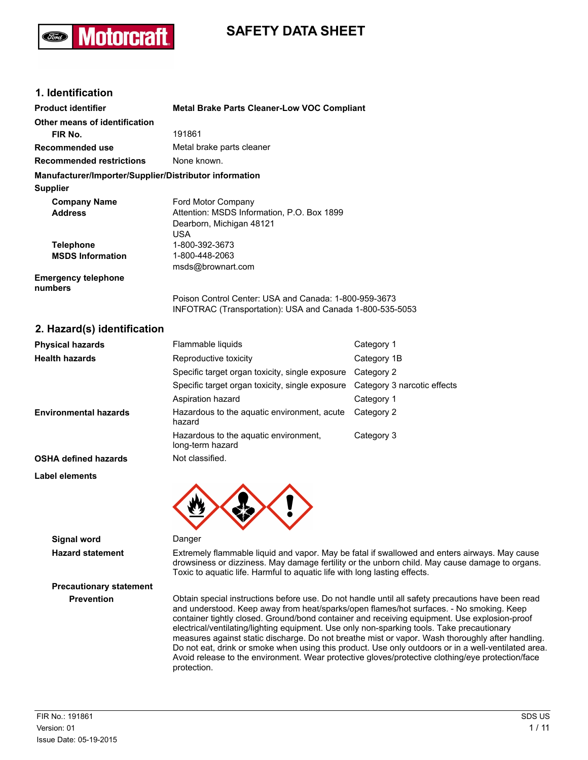# **SAFETY DATA SHEET**

### **1. Identification**

**lotorcra** 

| <b>Product identifier</b>                              | <b>Metal Brake Parts Cleaner-Low VOC Compliant</b>                                                                |
|--------------------------------------------------------|-------------------------------------------------------------------------------------------------------------------|
| Other means of identification                          |                                                                                                                   |
| FIR No.                                                | 191861                                                                                                            |
| <b>Recommended use</b>                                 | Metal brake parts cleaner                                                                                         |
| <b>Recommended restrictions</b>                        | None known.                                                                                                       |
| Manufacturer/Importer/Supplier/Distributor information |                                                                                                                   |
| <b>Supplier</b>                                        |                                                                                                                   |
| <b>Company Name</b>                                    | Ford Motor Company                                                                                                |
| <b>Address</b>                                         | Attention: MSDS Information, P.O. Box 1899                                                                        |
|                                                        | Dearborn, Michigan 48121                                                                                          |
|                                                        | USA.                                                                                                              |
| <b>Telephone</b>                                       | 1-800-392-3673                                                                                                    |
| <b>MSDS Information</b>                                | 1-800-448-2063                                                                                                    |
|                                                        | msds@brownart.com                                                                                                 |
| <b>Emergency telephone</b>                             |                                                                                                                   |
| numbers                                                |                                                                                                                   |
|                                                        | Poison Control Center: USA and Canada: 1-800-959-3673<br>INFOTRAC (Transportation): USA and Canada 1-800-535-5053 |
|                                                        |                                                                                                                   |

#### **2. Hazard(s) identification**

| <b>Physical hazards</b>      | Flammable liquids                                         | Category 1                  |
|------------------------------|-----------------------------------------------------------|-----------------------------|
| <b>Health hazards</b>        | Reproductive toxicity                                     | Category 1B                 |
|                              | Specific target organ toxicity, single exposure           | Category 2                  |
|                              | Specific target organ toxicity, single exposure           | Category 3 narcotic effects |
|                              | Aspiration hazard                                         | Category 1                  |
| <b>Environmental hazards</b> | Hazardous to the aquatic environment, acute<br>hazard     | Category 2                  |
|                              | Hazardous to the aguatic environment,<br>long-term hazard | Category 3                  |
| <b>OSHA defined hazards</b>  | Not classified.                                           |                             |





#### **Signal word** Danger

**Precautionary statement**

**Hazard statement** Extremely flammable liquid and vapor. May be fatal if swallowed and enters airways. May cause drowsiness or dizziness. May damage fertility or the unborn child. May cause damage to organs. Toxic to aquatic life. Harmful to aquatic life with long lasting effects.

**Prevention** Obtain special instructions before use. Do not handle until all safety precautions have been read and understood. Keep away from heat/sparks/open flames/hot surfaces. - No smoking. Keep container tightly closed. Ground/bond container and receiving equipment. Use explosion-proof electrical/ventilating/lighting equipment. Use only non-sparking tools. Take precautionary measures against static discharge. Do not breathe mist or vapor. Wash thoroughly after handling. Do not eat, drink or smoke when using this product. Use only outdoors or in a well-ventilated area. Avoid release to the environment. Wear protective gloves/protective clothing/eye protection/face protection.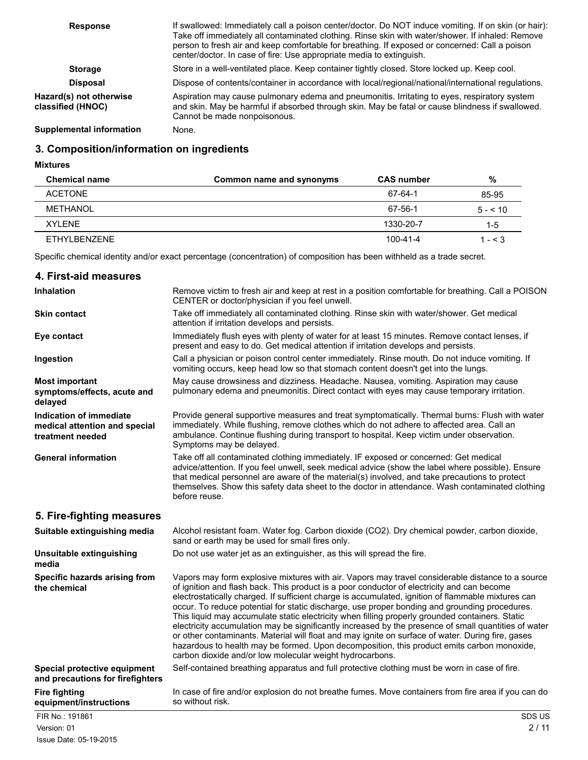| <b>Response</b>                              | If swallowed: Immediately call a poison center/doctor. Do NOT induce vomiting. If on skin (or hair):<br>Take off immediately all contaminated clothing. Rinse skin with water/shower. If inhaled: Remove<br>person to fresh air and keep comfortable for breathing. If exposed or concerned: Call a poison<br>center/doctor. In case of fire: Use appropriate media to extinguish. |
|----------------------------------------------|------------------------------------------------------------------------------------------------------------------------------------------------------------------------------------------------------------------------------------------------------------------------------------------------------------------------------------------------------------------------------------|
| <b>Storage</b>                               | Store in a well-ventilated place. Keep container tightly closed. Store locked up. Keep cool.                                                                                                                                                                                                                                                                                       |
| <b>Disposal</b>                              | Dispose of contents/container in accordance with local/regional/national/international regulations.                                                                                                                                                                                                                                                                                |
| Hazard(s) not otherwise<br>classified (HNOC) | Aspiration may cause pulmonary edema and pneumonitis. Irritating to eyes, respiratory system<br>and skin. May be harmful if absorbed through skin. May be fatal or cause blindness if swallowed.<br>Cannot be made nonpoisonous.                                                                                                                                                   |
| Sunnlamantal information                     | $N_{\rm ann}$                                                                                                                                                                                                                                                                                                                                                                      |

**Supplemental information** None.

### **3. Composition/information on ingredients**

**Mixtures**

| <b>Chemical name</b> | Common name and synonyms | <b>CAS number</b> | %            |
|----------------------|--------------------------|-------------------|--------------|
| <b>ACETONE</b>       |                          | 67-64-1           | 85-95        |
| METHANOL             |                          | 67-56-1           | $5 - 510$    |
| XYI FNF              |                          | 1330-20-7         | $1-5$        |
| ETHYLBENZENE         |                          | 100-41-4          | 1 - $\leq$ 3 |

Specific chemical identity and/or exact percentage (concentration) of composition has been withheld as a trade secret.

| 4. First-aid measures                                                        |                                                                                                                                                                                                                                                                                                                                                                                                                                                                                                                                                                                                                                                                                                                                                                                                                                                                                 |
|------------------------------------------------------------------------------|---------------------------------------------------------------------------------------------------------------------------------------------------------------------------------------------------------------------------------------------------------------------------------------------------------------------------------------------------------------------------------------------------------------------------------------------------------------------------------------------------------------------------------------------------------------------------------------------------------------------------------------------------------------------------------------------------------------------------------------------------------------------------------------------------------------------------------------------------------------------------------|
| <b>Inhalation</b>                                                            | Remove victim to fresh air and keep at rest in a position comfortable for breathing. Call a POISON<br>CENTER or doctor/physician if you feel unwell.                                                                                                                                                                                                                                                                                                                                                                                                                                                                                                                                                                                                                                                                                                                            |
| <b>Skin contact</b>                                                          | Take off immediately all contaminated clothing. Rinse skin with water/shower. Get medical<br>attention if irritation develops and persists.                                                                                                                                                                                                                                                                                                                                                                                                                                                                                                                                                                                                                                                                                                                                     |
| Eye contact                                                                  | Immediately flush eyes with plenty of water for at least 15 minutes. Remove contact lenses, if<br>present and easy to do. Get medical attention if irritation develops and persists.                                                                                                                                                                                                                                                                                                                                                                                                                                                                                                                                                                                                                                                                                            |
| Ingestion                                                                    | Call a physician or poison control center immediately. Rinse mouth. Do not induce vomiting. If<br>vomiting occurs, keep head low so that stomach content doesn't get into the lungs.                                                                                                                                                                                                                                                                                                                                                                                                                                                                                                                                                                                                                                                                                            |
| <b>Most important</b><br>symptoms/effects, acute and<br>delayed              | May cause drowsiness and dizziness. Headache. Nausea, vomiting. Aspiration may cause<br>pulmonary edema and pneumonitis. Direct contact with eyes may cause temporary irritation.                                                                                                                                                                                                                                                                                                                                                                                                                                                                                                                                                                                                                                                                                               |
| Indication of immediate<br>medical attention and special<br>treatment needed | Provide general supportive measures and treat symptomatically. Thermal burns: Flush with water<br>immediately. While flushing, remove clothes which do not adhere to affected area. Call an<br>ambulance. Continue flushing during transport to hospital. Keep victim under observation.<br>Symptoms may be delayed.                                                                                                                                                                                                                                                                                                                                                                                                                                                                                                                                                            |
| <b>General information</b>                                                   | Take off all contaminated clothing immediately. IF exposed or concerned: Get medical<br>advice/attention. If you feel unwell, seek medical advice (show the label where possible). Ensure<br>that medical personnel are aware of the material(s) involved, and take precautions to protect<br>themselves. Show this safety data sheet to the doctor in attendance. Wash contaminated clothing<br>before reuse.                                                                                                                                                                                                                                                                                                                                                                                                                                                                  |
| 5. Fire-fighting measures                                                    |                                                                                                                                                                                                                                                                                                                                                                                                                                                                                                                                                                                                                                                                                                                                                                                                                                                                                 |
| Suitable extinguishing media                                                 | Alcohol resistant foam. Water fog. Carbon dioxide (CO2). Dry chemical powder, carbon dioxide,<br>sand or earth may be used for small fires only.                                                                                                                                                                                                                                                                                                                                                                                                                                                                                                                                                                                                                                                                                                                                |
| Unsuitable extinguishing<br>media                                            | Do not use water jet as an extinguisher, as this will spread the fire.                                                                                                                                                                                                                                                                                                                                                                                                                                                                                                                                                                                                                                                                                                                                                                                                          |
| Specific hazards arising from<br>the chemical                                | Vapors may form explosive mixtures with air. Vapors may travel considerable distance to a source<br>of ignition and flash back. This product is a poor conductor of electricity and can become<br>electrostatically charged. If sufficient charge is accumulated, ignition of flammable mixtures can<br>occur. To reduce potential for static discharge, use proper bonding and grounding procedures.<br>This liquid may accumulate static electricity when filling properly grounded containers. Static<br>electricity accumulation may be significantly increased by the presence of small quantities of water<br>or other contaminants. Material will float and may ignite on surface of water. During fire, gases<br>hazardous to health may be formed. Upon decomposition, this product emits carbon monoxide,<br>carbon dioxide and/or low molecular weight hydrocarbons. |
| Special protective equipment<br>and precautions for firefighters             | Self-contained breathing apparatus and full protective clothing must be worn in case of fire.                                                                                                                                                                                                                                                                                                                                                                                                                                                                                                                                                                                                                                                                                                                                                                                   |
| <b>Fire fighting</b><br>equipment/instructions                               | In case of fire and/or explosion do not breathe fumes. Move containers from fire area if you can do<br>so without risk.                                                                                                                                                                                                                                                                                                                                                                                                                                                                                                                                                                                                                                                                                                                                                         |
| FIR No.: 191861                                                              | SDS US                                                                                                                                                                                                                                                                                                                                                                                                                                                                                                                                                                                                                                                                                                                                                                                                                                                                          |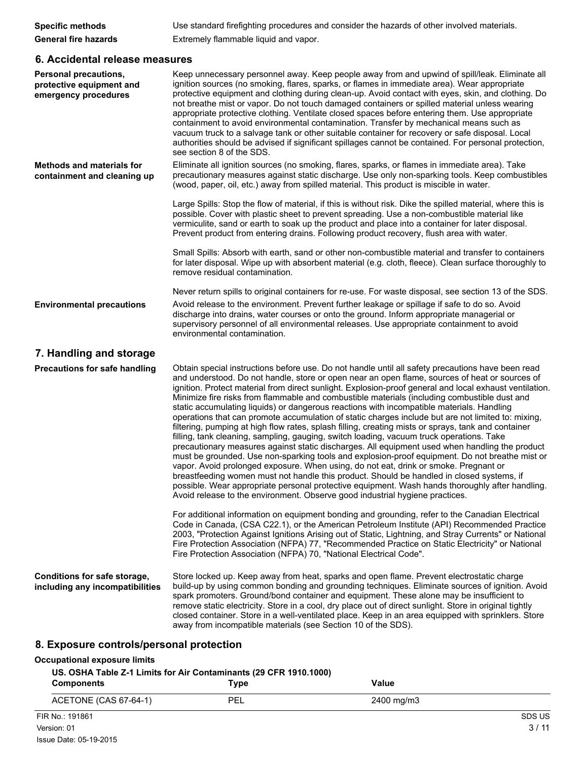| <b>Specific methods</b>     | Use standard firefighting procedures and consider the hazards of other involved materials. |
|-----------------------------|--------------------------------------------------------------------------------------------|
| <b>General fire hazards</b> | Extremely flammable liquid and vapor.                                                      |

### **6. Accidental release measures**

| <b>Personal precautions,</b><br>protective equipment and<br>emergency procedures | Keep unnecessary personnel away. Keep people away from and upwind of spill/leak. Eliminate all<br>ignition sources (no smoking, flares, sparks, or flames in immediate area). Wear appropriate<br>protective equipment and clothing during clean-up. Avoid contact with eyes, skin, and clothing. Do<br>not breathe mist or vapor. Do not touch damaged containers or spilled material unless wearing<br>appropriate protective clothing. Ventilate closed spaces before entering them. Use appropriate<br>containment to avoid environmental contamination. Transfer by mechanical means such as<br>vacuum truck to a salvage tank or other suitable container for recovery or safe disposal. Local<br>authorities should be advised if significant spillages cannot be contained. For personal protection,<br>see section 8 of the SDS.                                                                                                                                                                                                                                                                                                                                                                                                                                                                                                                                                        |
|----------------------------------------------------------------------------------|--------------------------------------------------------------------------------------------------------------------------------------------------------------------------------------------------------------------------------------------------------------------------------------------------------------------------------------------------------------------------------------------------------------------------------------------------------------------------------------------------------------------------------------------------------------------------------------------------------------------------------------------------------------------------------------------------------------------------------------------------------------------------------------------------------------------------------------------------------------------------------------------------------------------------------------------------------------------------------------------------------------------------------------------------------------------------------------------------------------------------------------------------------------------------------------------------------------------------------------------------------------------------------------------------------------------------------------------------------------------------------------------------|
| <b>Methods and materials for</b><br>containment and cleaning up                  | Eliminate all ignition sources (no smoking, flares, sparks, or flames in immediate area). Take<br>precautionary measures against static discharge. Use only non-sparking tools. Keep combustibles<br>(wood, paper, oil, etc.) away from spilled material. This product is miscible in water.                                                                                                                                                                                                                                                                                                                                                                                                                                                                                                                                                                                                                                                                                                                                                                                                                                                                                                                                                                                                                                                                                                     |
|                                                                                  | Large Spills: Stop the flow of material, if this is without risk. Dike the spilled material, where this is<br>possible. Cover with plastic sheet to prevent spreading. Use a non-combustible material like<br>vermiculite, sand or earth to soak up the product and place into a container for later disposal.<br>Prevent product from entering drains. Following product recovery, flush area with water.                                                                                                                                                                                                                                                                                                                                                                                                                                                                                                                                                                                                                                                                                                                                                                                                                                                                                                                                                                                       |
|                                                                                  | Small Spills: Absorb with earth, sand or other non-combustible material and transfer to containers<br>for later disposal. Wipe up with absorbent material (e.g. cloth, fleece). Clean surface thoroughly to<br>remove residual contamination.                                                                                                                                                                                                                                                                                                                                                                                                                                                                                                                                                                                                                                                                                                                                                                                                                                                                                                                                                                                                                                                                                                                                                    |
|                                                                                  | Never return spills to original containers for re-use. For waste disposal, see section 13 of the SDS.                                                                                                                                                                                                                                                                                                                                                                                                                                                                                                                                                                                                                                                                                                                                                                                                                                                                                                                                                                                                                                                                                                                                                                                                                                                                                            |
| <b>Environmental precautions</b>                                                 | Avoid release to the environment. Prevent further leakage or spillage if safe to do so. Avoid<br>discharge into drains, water courses or onto the ground. Inform appropriate managerial or<br>supervisory personnel of all environmental releases. Use appropriate containment to avoid<br>environmental contamination.                                                                                                                                                                                                                                                                                                                                                                                                                                                                                                                                                                                                                                                                                                                                                                                                                                                                                                                                                                                                                                                                          |
| 7. Handling and storage                                                          |                                                                                                                                                                                                                                                                                                                                                                                                                                                                                                                                                                                                                                                                                                                                                                                                                                                                                                                                                                                                                                                                                                                                                                                                                                                                                                                                                                                                  |
| <b>Precautions for safe handling</b>                                             | Obtain special instructions before use. Do not handle until all safety precautions have been read<br>and understood. Do not handle, store or open near an open flame, sources of heat or sources of<br>ignition. Protect material from direct sunlight. Explosion-proof general and local exhaust ventilation.<br>Minimize fire risks from flammable and combustible materials (including combustible dust and<br>static accumulating liquids) or dangerous reactions with incompatible materials. Handling<br>operations that can promote accumulation of static charges include but are not limited to: mixing,<br>filtering, pumping at high flow rates, splash filling, creating mists or sprays, tank and container<br>filling, tank cleaning, sampling, gauging, switch loading, vacuum truck operations. Take<br>precautionary measures against static discharges. All equipment used when handling the product<br>must be grounded. Use non-sparking tools and explosion-proof equipment. Do not breathe mist or<br>vapor. Avoid prolonged exposure. When using, do not eat, drink or smoke. Pregnant or<br>breastfeeding women must not handle this product. Should be handled in closed systems, if<br>possible. Wear appropriate personal protective equipment. Wash hands thoroughly after handling.<br>Avoid release to the environment. Observe good industrial hygiene practices. |
|                                                                                  | For additional information on equipment bonding and grounding, refer to the Canadian Electrical<br>Code in Canada, (CSA C22.1), or the American Petroleum Institute (API) Recommended Practice<br>2003, "Protection Against Ignitions Arising out of Static, Lightning, and Stray Currents" or National<br>Fire Protection Association (NFPA) 77, "Recommended Practice on Static Electricity" or National<br>Fire Protection Association (NFPA) 70, "National Electrical Code".                                                                                                                                                                                                                                                                                                                                                                                                                                                                                                                                                                                                                                                                                                                                                                                                                                                                                                                 |
| Conditions for safe storage,<br>including any incompatibilities                  | Store locked up. Keep away from heat, sparks and open flame. Prevent electrostatic charge<br>build-up by using common bonding and grounding techniques. Eliminate sources of ignition. Avoid<br>spark promoters. Ground/bond container and equipment. These alone may be insufficient to<br>remove static electricity. Store in a cool, dry place out of direct sunlight. Store in original tightly<br>closed container. Store in a well-ventilated place. Keep in an area equipped with sprinklers. Store<br>away from incompatible materials (see Section 10 of the SDS).                                                                                                                                                                                                                                                                                                                                                                                                                                                                                                                                                                                                                                                                                                                                                                                                                      |
|                                                                                  |                                                                                                                                                                                                                                                                                                                                                                                                                                                                                                                                                                                                                                                                                                                                                                                                                                                                                                                                                                                                                                                                                                                                                                                                                                                                                                                                                                                                  |

# **8. Exposure controls/personal protection**

#### **Occupational exposure limits**

#### **US. OSHA Table Z-1 Limits for Air Contaminants (29 CFR 1910.1000)**

| <b>Components</b>     | $\mathsf{Type}$ | Value      |        |
|-----------------------|-----------------|------------|--------|
| ACETONE (CAS 67-64-1) | PEL             | 2400 mg/m3 |        |
| FIR No.: 191861       |                 |            | SDS US |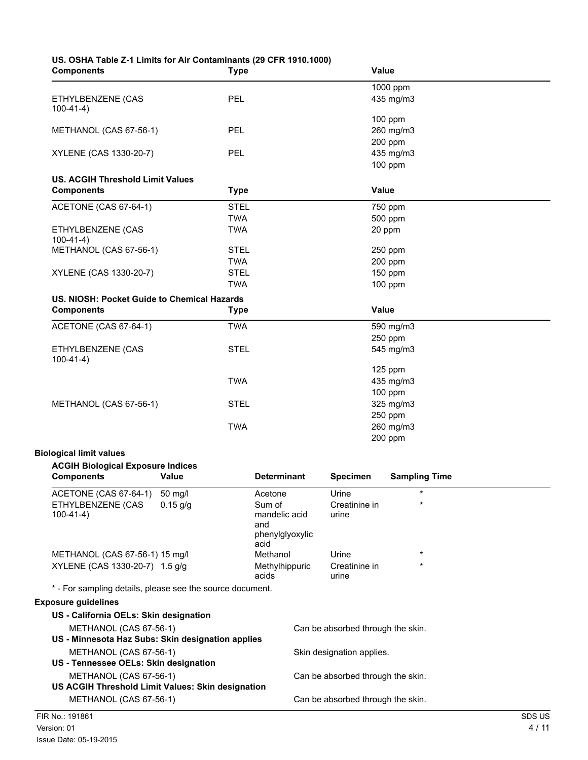| US. OSHA Table Z-1 Limits for Air Contaminants (29 CFR 1910.1000)<br><b>Components</b> |              | <b>Type</b>               |                                | <b>Value</b>                      |                        |        |
|----------------------------------------------------------------------------------------|--------------|---------------------------|--------------------------------|-----------------------------------|------------------------|--------|
| ETHYLBENZENE (CAS                                                                      |              | <b>PEL</b>                |                                |                                   | 1000 ppm<br>435 mg/m3  |        |
| $100-41-4)$<br>METHANOL (CAS 67-56-1)                                                  |              | <b>PEL</b>                |                                |                                   | 100 ppm<br>260 mg/m3   |        |
|                                                                                        |              |                           |                                |                                   | 200 ppm                |        |
| XYLENE (CAS 1330-20-7)                                                                 |              | <b>PEL</b>                |                                |                                   | 435 mg/m3<br>$100$ ppm |        |
| <b>US. ACGIH Threshold Limit Values</b><br><b>Components</b>                           |              | <b>Type</b>               |                                | <b>Value</b>                      |                        |        |
| ACETONE (CAS 67-64-1)                                                                  |              | <b>STEL</b>               |                                |                                   | 750 ppm                |        |
| ETHYLBENZENE (CAS                                                                      |              | <b>TWA</b><br><b>TWA</b>  |                                |                                   | 500 ppm<br>20 ppm      |        |
| $100-41-4)$<br>METHANOL (CAS 67-56-1)                                                  |              | <b>STEL</b>               |                                |                                   | 250 ppm                |        |
|                                                                                        |              | <b>TWA</b>                |                                |                                   | 200 ppm                |        |
| XYLENE (CAS 1330-20-7)                                                                 |              | <b>STEL</b><br><b>TWA</b> |                                |                                   | 150 ppm                |        |
| US. NIOSH: Pocket Guide to Chemical Hazards                                            |              |                           |                                |                                   | 100 ppm                |        |
| <b>Components</b>                                                                      |              | <b>Type</b>               |                                | Value                             |                        |        |
| ACETONE (CAS 67-64-1)                                                                  |              | <b>TWA</b>                |                                |                                   | 590 mg/m3              |        |
|                                                                                        |              |                           |                                |                                   | 250 ppm                |        |
| ETHYLBENZENE (CAS<br>$100-41-4)$                                                       |              | <b>STEL</b>               |                                |                                   | 545 mg/m3              |        |
|                                                                                        |              | <b>TWA</b>                |                                |                                   | 125 ppm                |        |
|                                                                                        |              |                           |                                |                                   | 435 mg/m3<br>$100$ ppm |        |
| METHANOL (CAS 67-56-1)                                                                 |              | <b>STEL</b>               |                                |                                   | 325 mg/m3              |        |
|                                                                                        |              |                           |                                |                                   | 250 ppm                |        |
|                                                                                        |              | <b>TWA</b>                |                                |                                   | 260 mg/m3<br>200 ppm   |        |
| <b>Biological limit values</b>                                                         |              |                           |                                |                                   |                        |        |
| <b>ACGIH Biological Exposure Indices</b><br><b>Components</b>                          | <b>Value</b> |                           | <b>Determinant</b>             | <b>Specimen</b>                   | <b>Sampling Time</b>   |        |
| ACETONE (CAS 67-64-1)                                                                  | 50 mg/l      |                           | Acetone                        | Urine                             | $\star$                |        |
| ETHYLBENZENE (CAS<br>$100-41-4)$                                                       | $0.15$ g/g   |                           | Sum of<br>mandelic acid        | Creatinine in<br>urine            |                        |        |
|                                                                                        |              |                           | and<br>phenylglyoxylic<br>acid |                                   |                        |        |
| METHANOL (CAS 67-56-1) 15 mg/l                                                         |              |                           | Methanol                       | Urine                             |                        |        |
| XYLENE (CAS 1330-20-7) 1.5 g/g                                                         |              |                           | Methylhippuric<br>acids        | Creatinine in<br>urine            |                        |        |
| * - For sampling details, please see the source document.                              |              |                           |                                |                                   |                        |        |
| <b>Exposure guidelines</b>                                                             |              |                           |                                |                                   |                        |        |
| US - California OELs: Skin designation                                                 |              |                           |                                |                                   |                        |        |
| METHANOL (CAS 67-56-1)<br>US - Minnesota Haz Subs: Skin designation applies            |              |                           |                                | Can be absorbed through the skin. |                        |        |
| METHANOL (CAS 67-56-1)<br>US - Tennessee OELs: Skin designation                        |              |                           |                                | Skin designation applies.         |                        |        |
| METHANOL (CAS 67-56-1)<br>US ACGIH Threshold Limit Values: Skin designation            |              |                           |                                | Can be absorbed through the skin. |                        |        |
| METHANOL (CAS 67-56-1)                                                                 |              |                           |                                | Can be absorbed through the skin. |                        |        |
| FIR No.: 191861                                                                        |              |                           |                                |                                   |                        | SDS US |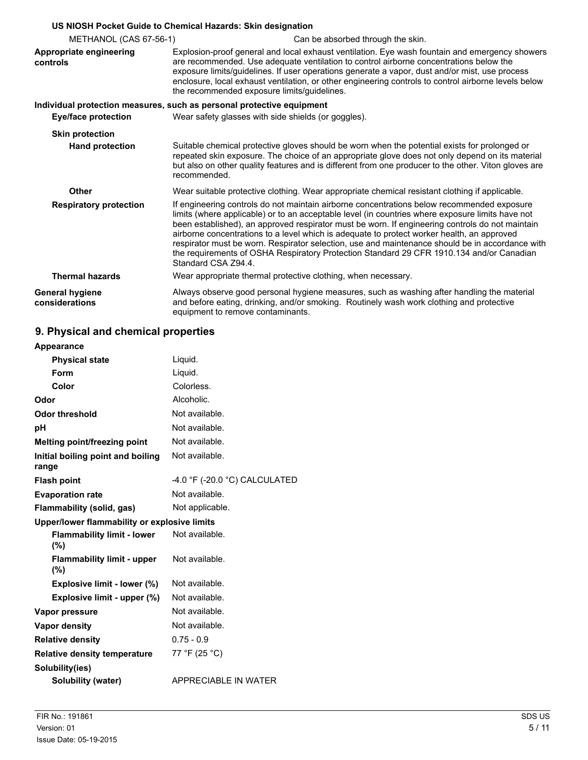|                                                  | US NIOSH Pocket Guide to Chemical Hazards: Skin designation                                                                                                                                                                                                                                                                                                                                                                                                                                                                                                                                                           |  |
|--------------------------------------------------|-----------------------------------------------------------------------------------------------------------------------------------------------------------------------------------------------------------------------------------------------------------------------------------------------------------------------------------------------------------------------------------------------------------------------------------------------------------------------------------------------------------------------------------------------------------------------------------------------------------------------|--|
| METHANOL (CAS 67-56-1)                           | Can be absorbed through the skin.                                                                                                                                                                                                                                                                                                                                                                                                                                                                                                                                                                                     |  |
| Appropriate engineering<br>controls              | Explosion-proof general and local exhaust ventilation. Eye wash fountain and emergency showers<br>are recommended. Use adequate ventilation to control airborne concentrations below the<br>exposure limits/guidelines. If user operations generate a vapor, dust and/or mist, use process<br>enclosure, local exhaust ventilation, or other engineering controls to control airborne levels below<br>the recommended exposure limits/quidelines.                                                                                                                                                                     |  |
|                                                  | Individual protection measures, such as personal protective equipment                                                                                                                                                                                                                                                                                                                                                                                                                                                                                                                                                 |  |
| <b>Eye/face protection</b>                       | Wear safety glasses with side shields (or goggles).                                                                                                                                                                                                                                                                                                                                                                                                                                                                                                                                                                   |  |
| <b>Skin protection</b><br><b>Hand protection</b> | Suitable chemical protective gloves should be worn when the potential exists for prolonged or<br>repeated skin exposure. The choice of an appropriate glove does not only depend on its material<br>but also on other quality features and is different from one producer to the other. Viton gloves are<br>recommended.                                                                                                                                                                                                                                                                                              |  |
| Other                                            | Wear suitable protective clothing. Wear appropriate chemical resistant clothing if applicable.                                                                                                                                                                                                                                                                                                                                                                                                                                                                                                                        |  |
| <b>Respiratory protection</b>                    | If engineering controls do not maintain airborne concentrations below recommended exposure<br>limits (where applicable) or to an acceptable level (in countries where exposure limits have not<br>been established), an approved respirator must be worn. If engineering controls do not maintain<br>airborne concentrations to a level which is adequate to protect worker health, an approved<br>respirator must be worn. Respirator selection, use and maintenance should be in accordance with<br>the requirements of OSHA Respiratory Protection Standard 29 CFR 1910.134 and/or Canadian<br>Standard CSA Z94.4. |  |
| <b>Thermal hazards</b>                           | Wear appropriate thermal protective clothing, when necessary.                                                                                                                                                                                                                                                                                                                                                                                                                                                                                                                                                         |  |
| <b>General hygiene</b><br>considerations         | Always observe good personal hygiene measures, such as washing after handling the material<br>and before eating, drinking, and/or smoking. Routinely wash work clothing and protective<br>equipment to remove contaminants.                                                                                                                                                                                                                                                                                                                                                                                           |  |

# **9. Physical and chemical properties**

| Appearance                                   |                                 |
|----------------------------------------------|---------------------------------|
| <b>Physical state</b>                        | Liquid.                         |
| Form                                         | Liquid.                         |
| Color                                        | Colorless.                      |
| Odor                                         | Alcoholic.                      |
| <b>Odor threshold</b>                        | Not available.                  |
| рH                                           | Not available.                  |
| Melting point/freezing point                 | Not available.                  |
| Initial boiling point and boiling<br>range   | Not available.                  |
| <b>Flash point</b>                           | $-4.0$ °F (-20.0 °C) CALCULATED |
| <b>Evaporation rate</b>                      | Not available.                  |
| Flammability (solid, gas)                    | Not applicable.                 |
| Upper/lower flammability or explosive limits |                                 |
| <b>Flammability limit - lower</b><br>(%)     | Not available.                  |
| <b>Flammability limit - upper</b><br>(%)     | Not available.                  |
| Explosive limit - lower (%)                  | Not available.                  |
| Explosive limit - upper (%)                  | Not available.                  |
| Vapor pressure                               | Not available.                  |
| Vapor density                                | Not available.                  |
| <b>Relative density</b>                      | $0.75 - 0.9$                    |
| <b>Relative density temperature</b>          | 77 °F (25 °C)                   |
| Solubility(ies)                              |                                 |
| Solubility (water)                           | <b>APPRECIABLE IN WATER</b>     |
|                                              |                                 |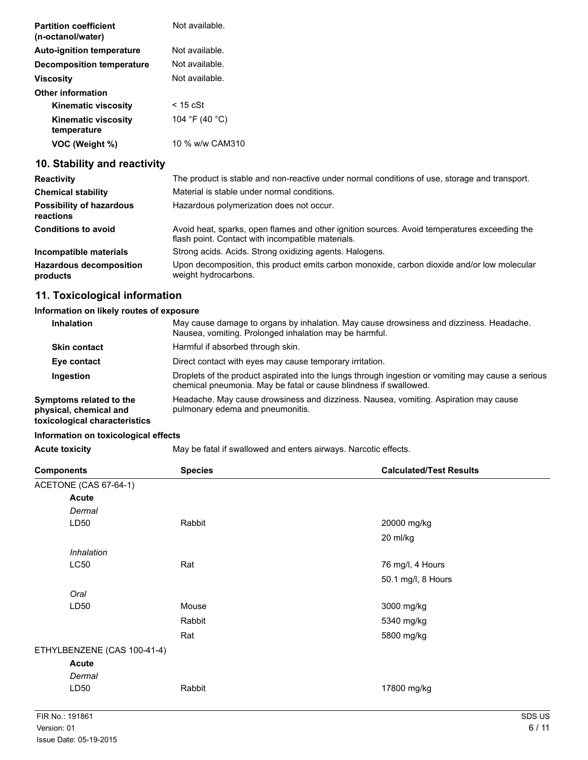| <b>Partition coefficient</b><br>(n-octanol/water) | Not available.  |
|---------------------------------------------------|-----------------|
| <b>Auto-ignition temperature</b>                  | Not available.  |
| <b>Decomposition temperature</b>                  | Not available.  |
| <b>Viscosity</b>                                  | Not available.  |
| <b>Other information</b>                          |                 |
| <b>Kinematic viscosity</b>                        | $<$ 15 cSt      |
| <b>Kinematic viscosity</b><br>temperature         | 104 °F (40 °C)  |
| VOC (Weight %)                                    | 10 % w/w CAM310 |

## **10. Stability and reactivity**

| <b>Reactivity</b>                            | The product is stable and non-reactive under normal conditions of use, storage and transport.                                                     |
|----------------------------------------------|---------------------------------------------------------------------------------------------------------------------------------------------------|
| <b>Chemical stability</b>                    | Material is stable under normal conditions.                                                                                                       |
| <b>Possibility of hazardous</b><br>reactions | Hazardous polymerization does not occur.                                                                                                          |
| <b>Conditions to avoid</b>                   | Avoid heat, sparks, open flames and other ignition sources. Avoid temperatures exceeding the<br>flash point. Contact with incompatible materials. |
| Incompatible materials                       | Strong acids. Acids. Strong oxidizing agents. Halogens.                                                                                           |
| <b>Hazardous decomposition</b><br>products   | Upon decomposition, this product emits carbon monoxide, carbon dioxide and/or low molecular<br>weight hydrocarbons.                               |

# **11. Toxicological information**

### **Information on likely routes of exposure**

| <b>Inhalation</b>                                                                  | May cause damage to organs by inhalation. May cause drowsiness and dizziness. Headache.<br>Nausea, vomiting. Prolonged inhalation may be harmful.                       |
|------------------------------------------------------------------------------------|-------------------------------------------------------------------------------------------------------------------------------------------------------------------------|
| <b>Skin contact</b>                                                                | Harmful if absorbed through skin.                                                                                                                                       |
| Eye contact                                                                        | Direct contact with eyes may cause temporary irritation.                                                                                                                |
| Ingestion                                                                          | Droplets of the product aspirated into the lungs through ingestion or vomiting may cause a serious<br>chemical pneumonia. May be fatal or cause blindness if swallowed. |
| Symptoms related to the<br>physical, chemical and<br>toxicological characteristics | Headache. May cause drowsiness and dizziness. Nausea, vomiting. Aspiration may cause<br>pulmonary edema and pneumonitis.                                                |

### **Information on toxicological effects**

Acute toxicity **May be fatal if swallowed and enters airways. Narcotic effects.** 

| <b>Components</b>           | <b>Species</b> | <b>Calculated/Test Results</b> |
|-----------------------------|----------------|--------------------------------|
| ACETONE (CAS 67-64-1)       |                |                                |
| Acute                       |                |                                |
| Dermal                      |                |                                |
| LD <sub>50</sub>            | Rabbit         | 20000 mg/kg                    |
|                             |                | 20 ml/kg                       |
| Inhalation                  |                |                                |
| LC50                        | Rat            | 76 mg/l, 4 Hours               |
|                             |                | 50.1 mg/l, 8 Hours             |
| Oral                        |                |                                |
| LD <sub>50</sub>            | Mouse          | 3000 mg/kg                     |
|                             | Rabbit         | 5340 mg/kg                     |
|                             | Rat            | 5800 mg/kg                     |
| ETHYLBENZENE (CAS 100-41-4) |                |                                |
| <b>Acute</b>                |                |                                |
| Dermal                      |                |                                |
| LD50                        | Rabbit         | 17800 mg/kg                    |
|                             |                |                                |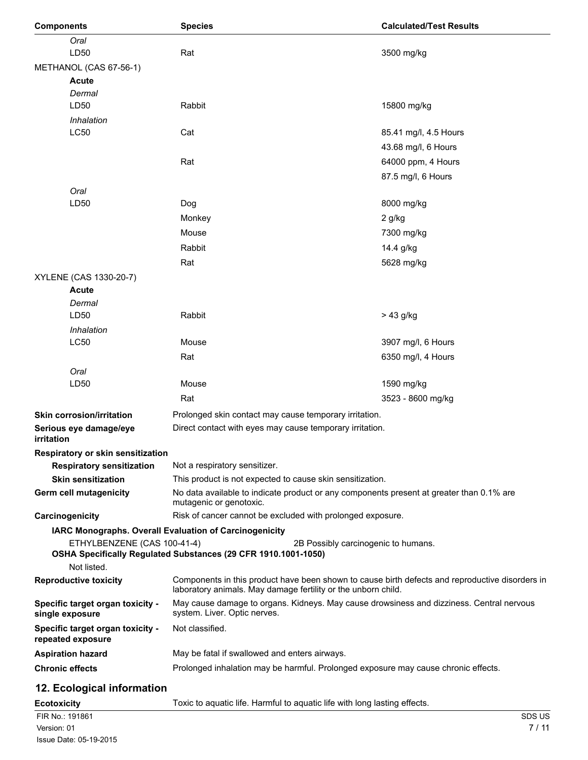| <b>Components</b>                                                     | <b>Species</b>                                                                                                                                                   | <b>Calculated/Test Results</b> |
|-----------------------------------------------------------------------|------------------------------------------------------------------------------------------------------------------------------------------------------------------|--------------------------------|
| Oral<br>LD50                                                          | Rat                                                                                                                                                              | 3500 mg/kg                     |
| METHANOL (CAS 67-56-1)                                                |                                                                                                                                                                  |                                |
| <b>Acute</b>                                                          |                                                                                                                                                                  |                                |
| Dermal                                                                |                                                                                                                                                                  |                                |
| LD50                                                                  | Rabbit                                                                                                                                                           | 15800 mg/kg                    |
| Inhalation                                                            |                                                                                                                                                                  |                                |
| LC50                                                                  | Cat                                                                                                                                                              | 85.41 mg/l, 4.5 Hours          |
|                                                                       |                                                                                                                                                                  | 43.68 mg/l, 6 Hours            |
|                                                                       | Rat                                                                                                                                                              | 64000 ppm, 4 Hours             |
|                                                                       |                                                                                                                                                                  | 87.5 mg/l, 6 Hours             |
| Oral                                                                  |                                                                                                                                                                  |                                |
| LD50                                                                  | Dog                                                                                                                                                              | 8000 mg/kg                     |
|                                                                       | Monkey                                                                                                                                                           | 2 g/kg                         |
|                                                                       | Mouse                                                                                                                                                            | 7300 mg/kg                     |
|                                                                       | Rabbit                                                                                                                                                           | 14.4 g/kg                      |
|                                                                       | Rat                                                                                                                                                              | 5628 mg/kg                     |
| XYLENE (CAS 1330-20-7)                                                |                                                                                                                                                                  |                                |
| Acute                                                                 |                                                                                                                                                                  |                                |
| Dermal<br>LD50                                                        | Rabbit                                                                                                                                                           |                                |
|                                                                       |                                                                                                                                                                  | > 43 g/kg                      |
| Inhalation<br><b>LC50</b>                                             | Mouse                                                                                                                                                            | 3907 mg/l, 6 Hours             |
|                                                                       | Rat                                                                                                                                                              | 6350 mg/l, 4 Hours             |
| Oral                                                                  |                                                                                                                                                                  |                                |
| LD50                                                                  | Mouse                                                                                                                                                            | 1590 mg/kg                     |
|                                                                       | Rat                                                                                                                                                              | 3523 - 8600 mg/kg              |
| <b>Skin corrosion/irritation</b>                                      | Prolonged skin contact may cause temporary irritation.                                                                                                           |                                |
| Serious eye damage/eye                                                | Direct contact with eyes may cause temporary irritation.                                                                                                         |                                |
| irritation                                                            |                                                                                                                                                                  |                                |
| Respiratory or skin sensitization<br><b>Respiratory sensitization</b> | Not a respiratory sensitizer.                                                                                                                                    |                                |
| <b>Skin sensitization</b>                                             | This product is not expected to cause skin sensitization.                                                                                                        |                                |
| Germ cell mutagenicity                                                | No data available to indicate product or any components present at greater than 0.1% are                                                                         |                                |
|                                                                       | mutagenic or genotoxic.                                                                                                                                          |                                |
| Carcinogenicity                                                       | Risk of cancer cannot be excluded with prolonged exposure.                                                                                                       |                                |
|                                                                       | IARC Monographs. Overall Evaluation of Carcinogenicity                                                                                                           |                                |
| ETHYLBENZENE (CAS 100-41-4)                                           | 2B Possibly carcinogenic to humans.<br>OSHA Specifically Regulated Substances (29 CFR 1910.1001-1050)                                                            |                                |
| Not listed.                                                           |                                                                                                                                                                  |                                |
| <b>Reproductive toxicity</b>                                          | Components in this product have been shown to cause birth defects and reproductive disorders in<br>laboratory animals. May damage fertility or the unborn child. |                                |
| Specific target organ toxicity -<br>single exposure                   | May cause damage to organs. Kidneys. May cause drowsiness and dizziness. Central nervous<br>system. Liver. Optic nerves.                                         |                                |
| Specific target organ toxicity -<br>repeated exposure                 | Not classified.                                                                                                                                                  |                                |
| <b>Aspiration hazard</b>                                              | May be fatal if swallowed and enters airways.                                                                                                                    |                                |
| <b>Chronic effects</b>                                                | Prolonged inhalation may be harmful. Prolonged exposure may cause chronic effects.                                                                               |                                |
|                                                                       |                                                                                                                                                                  |                                |

# **12. Ecological information**

| <b>Ecotoxicity</b>     | Toxic to aquatic life. Harmful to aquatic life with long lasting effects. |               |
|------------------------|---------------------------------------------------------------------------|---------------|
| FIR No.: 191861        |                                                                           | <b>SDS US</b> |
| Version: 01            |                                                                           | 7/11          |
| Issue Date: 05-19-2015 |                                                                           |               |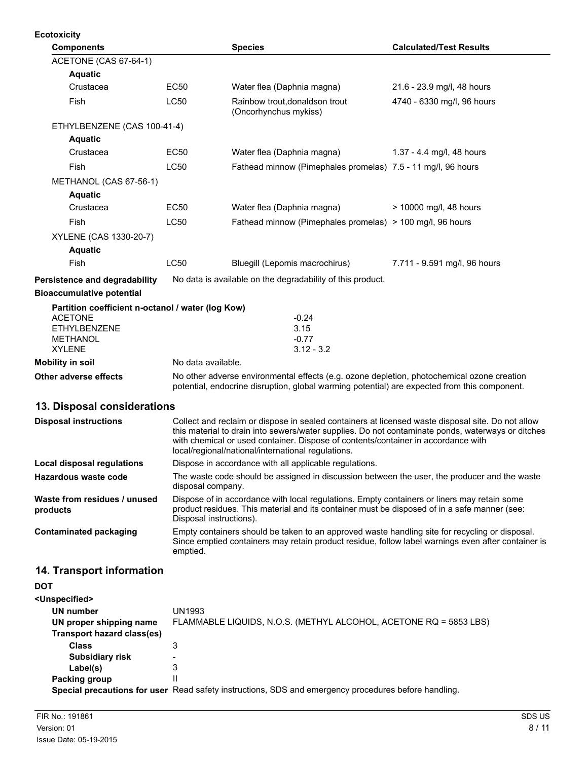| <b>Ecotoxicity</b>                                                                                            |                                                                                                                                                                                                                                                                                                                                                   |                                                                                                                                                                                                                        |                                |  |
|---------------------------------------------------------------------------------------------------------------|---------------------------------------------------------------------------------------------------------------------------------------------------------------------------------------------------------------------------------------------------------------------------------------------------------------------------------------------------|------------------------------------------------------------------------------------------------------------------------------------------------------------------------------------------------------------------------|--------------------------------|--|
| <b>Components</b>                                                                                             |                                                                                                                                                                                                                                                                                                                                                   | <b>Species</b>                                                                                                                                                                                                         | <b>Calculated/Test Results</b> |  |
| ACETONE (CAS 67-64-1)                                                                                         |                                                                                                                                                                                                                                                                                                                                                   |                                                                                                                                                                                                                        |                                |  |
| <b>Aquatic</b>                                                                                                |                                                                                                                                                                                                                                                                                                                                                   |                                                                                                                                                                                                                        |                                |  |
| Crustacea                                                                                                     | <b>EC50</b>                                                                                                                                                                                                                                                                                                                                       | Water flea (Daphnia magna)                                                                                                                                                                                             | 21.6 - 23.9 mg/l, 48 hours     |  |
| Fish                                                                                                          | <b>LC50</b>                                                                                                                                                                                                                                                                                                                                       | Rainbow trout, donaldson trout<br>(Oncorhynchus mykiss)                                                                                                                                                                | 4740 - 6330 mg/l, 96 hours     |  |
| ETHYLBENZENE (CAS 100-41-4)                                                                                   |                                                                                                                                                                                                                                                                                                                                                   |                                                                                                                                                                                                                        |                                |  |
| <b>Aquatic</b>                                                                                                |                                                                                                                                                                                                                                                                                                                                                   |                                                                                                                                                                                                                        |                                |  |
| Crustacea                                                                                                     | EC50                                                                                                                                                                                                                                                                                                                                              | Water flea (Daphnia magna)                                                                                                                                                                                             | 1.37 - 4.4 mg/l, 48 hours      |  |
| Fish                                                                                                          | <b>LC50</b>                                                                                                                                                                                                                                                                                                                                       | Fathead minnow (Pimephales promelas) 7.5 - 11 mg/l, 96 hours                                                                                                                                                           |                                |  |
| METHANOL (CAS 67-56-1)                                                                                        |                                                                                                                                                                                                                                                                                                                                                   |                                                                                                                                                                                                                        |                                |  |
| <b>Aquatic</b>                                                                                                |                                                                                                                                                                                                                                                                                                                                                   |                                                                                                                                                                                                                        |                                |  |
| Crustacea                                                                                                     | <b>EC50</b>                                                                                                                                                                                                                                                                                                                                       | Water flea (Daphnia magna)                                                                                                                                                                                             | > 10000 mg/l, 48 hours         |  |
| Fish                                                                                                          | LC50                                                                                                                                                                                                                                                                                                                                              | Fathead minnow (Pimephales promelas) > 100 mg/l, 96 hours                                                                                                                                                              |                                |  |
| XYLENE (CAS 1330-20-7)                                                                                        |                                                                                                                                                                                                                                                                                                                                                   |                                                                                                                                                                                                                        |                                |  |
| <b>Aquatic</b>                                                                                                |                                                                                                                                                                                                                                                                                                                                                   |                                                                                                                                                                                                                        |                                |  |
| Fish                                                                                                          | LC50                                                                                                                                                                                                                                                                                                                                              | Bluegill (Lepomis macrochirus)                                                                                                                                                                                         | 7.711 - 9.591 mg/l, 96 hours   |  |
| <b>Persistence and degradability</b>                                                                          |                                                                                                                                                                                                                                                                                                                                                   | No data is available on the degradability of this product.                                                                                                                                                             |                                |  |
| <b>Bioaccumulative potential</b>                                                                              |                                                                                                                                                                                                                                                                                                                                                   |                                                                                                                                                                                                                        |                                |  |
| Partition coefficient n-octanol / water (log Kow)<br><b>ACETONE</b><br><b>ETHYLBENZENE</b><br><b>METHANOL</b> |                                                                                                                                                                                                                                                                                                                                                   | $-0.24$<br>3.15<br>$-0.77$                                                                                                                                                                                             |                                |  |
| <b>XYLENE</b>                                                                                                 |                                                                                                                                                                                                                                                                                                                                                   | $3.12 - 3.2$                                                                                                                                                                                                           |                                |  |
| <b>Mobility in soil</b>                                                                                       | No data available.                                                                                                                                                                                                                                                                                                                                |                                                                                                                                                                                                                        |                                |  |
| <b>Other adverse effects</b>                                                                                  |                                                                                                                                                                                                                                                                                                                                                   | No other adverse environmental effects (e.g. ozone depletion, photochemical ozone creation<br>potential, endocrine disruption, global warming potential) are expected from this component.                             |                                |  |
| 13. Disposal considerations                                                                                   |                                                                                                                                                                                                                                                                                                                                                   |                                                                                                                                                                                                                        |                                |  |
| <b>Disposal instructions</b>                                                                                  | Collect and reclaim or dispose in sealed containers at licensed waste disposal site. Do not allow<br>this material to drain into sewers/water supplies. Do not contaminate ponds, waterways or ditches<br>with chemical or used container. Dispose of contents/container in accordance with<br>local/regional/national/international regulations. |                                                                                                                                                                                                                        |                                |  |
| Local disposal regulations                                                                                    | Dispose in accordance with all applicable regulations.                                                                                                                                                                                                                                                                                            |                                                                                                                                                                                                                        |                                |  |
| Hazardous waste code                                                                                          | The waste code should be assigned in discussion between the user, the producer and the waste<br>disposal company.                                                                                                                                                                                                                                 |                                                                                                                                                                                                                        |                                |  |
| Waste from residues / unused<br>products                                                                      |                                                                                                                                                                                                                                                                                                                                                   | Dispose of in accordance with local regulations. Empty containers or liners may retain some<br>product residues. This material and its container must be disposed of in a safe manner (see:<br>Disposal instructions). |                                |  |
| <b>Contaminated packaging</b>                                                                                 | emptied.                                                                                                                                                                                                                                                                                                                                          | Empty containers should be taken to an approved waste handling site for recycling or disposal.<br>Since emptied containers may retain product residue, follow label warnings even after container is                   |                                |  |
| 14. Transport information                                                                                     |                                                                                                                                                                                                                                                                                                                                                   |                                                                                                                                                                                                                        |                                |  |
| <b>DOT</b>                                                                                                    |                                                                                                                                                                                                                                                                                                                                                   |                                                                                                                                                                                                                        |                                |  |
| <unspecified></unspecified>                                                                                   |                                                                                                                                                                                                                                                                                                                                                   |                                                                                                                                                                                                                        |                                |  |
| <b>UN number</b><br>UN proper shipping name<br><b>Transport hazard class(es)</b>                              | <b>UN1993</b>                                                                                                                                                                                                                                                                                                                                     | FLAMMABLE LIQUIDS, N.O.S. (METHYL ALCOHOL, ACETONE RQ = 5853 LBS)                                                                                                                                                      |                                |  |
| Class                                                                                                         | J.                                                                                                                                                                                                                                                                                                                                                |                                                                                                                                                                                                                        |                                |  |

**Class** 3 **Subsidiary risk Label(s)** 3<br>**king group** 11 **Packing group Special precautions for user** Read safety instructions, SDS and emergency procedures before handling.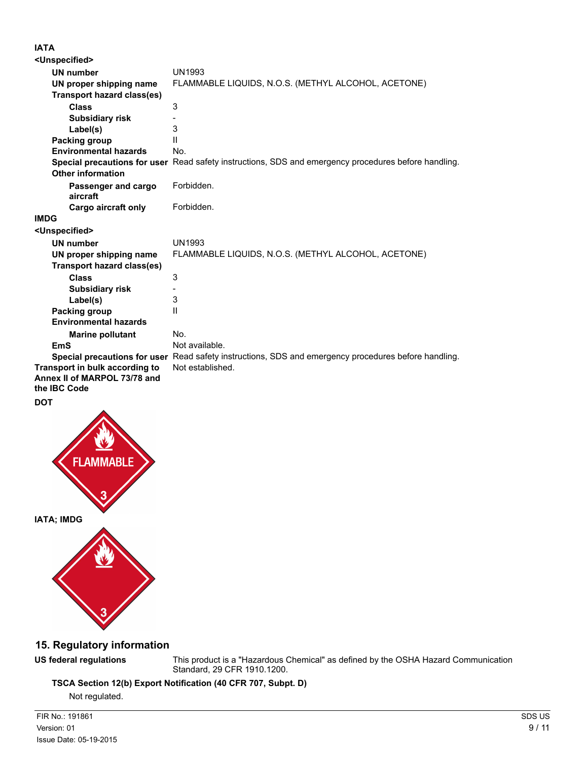### **IATA**

| <unspecified></unspecified>                                                    |                                                                                                      |
|--------------------------------------------------------------------------------|------------------------------------------------------------------------------------------------------|
| <b>UN number</b>                                                               | <b>UN1993</b>                                                                                        |
| UN proper shipping name                                                        | FLAMMABLE LIQUIDS, N.O.S. (METHYL ALCOHOL, ACETONE)                                                  |
| <b>Transport hazard class(es)</b>                                              |                                                                                                      |
| <b>Class</b>                                                                   | 3                                                                                                    |
| <b>Subsidiary risk</b>                                                         |                                                                                                      |
| Label(s)                                                                       | 3                                                                                                    |
| Packing group                                                                  | Ш                                                                                                    |
| <b>Environmental hazards</b>                                                   | No.                                                                                                  |
|                                                                                | Special precautions for user Read safety instructions, SDS and emergency procedures before handling. |
| <b>Other information</b>                                                       |                                                                                                      |
| Passenger and cargo<br>aircraft                                                | Forbidden.                                                                                           |
| <b>Cargo aircraft only</b>                                                     | Forbidden.                                                                                           |
| IMDG                                                                           |                                                                                                      |
| <unspecified></unspecified>                                                    |                                                                                                      |
| <b>UN number</b>                                                               | <b>UN1993</b>                                                                                        |
| UN proper shipping name                                                        | FLAMMABLE LIQUIDS, N.O.S. (METHYL ALCOHOL, ACETONE)                                                  |
| <b>Transport hazard class(es)</b>                                              |                                                                                                      |
| <b>Class</b>                                                                   | 3                                                                                                    |
| <b>Subsidiary risk</b>                                                         |                                                                                                      |
| Label(s)                                                                       | 3                                                                                                    |
| Packing group                                                                  | $\mathbf{H}$                                                                                         |
| <b>Environmental hazards</b>                                                   |                                                                                                      |
| <b>Marine pollutant</b>                                                        | No.                                                                                                  |
| <b>EmS</b>                                                                     | Not available.                                                                                       |
|                                                                                | Special precautions for user Read safety instructions, SDS and emergency procedures before handling. |
| Transport in bulk according to<br>Annex II of MARPOL 73/78 and<br>the IBC Code | Not established.                                                                                     |
| DOT                                                                            |                                                                                                      |





## **15. Regulatory information**

**US federal regulations** This product is a "Hazardous Chemical" as defined by the OSHA Hazard Communication Standard, 29 CFR 1910.1200.

**TSCA Section 12(b) Export Notification (40 CFR 707, Subpt. D)**

Not regulated.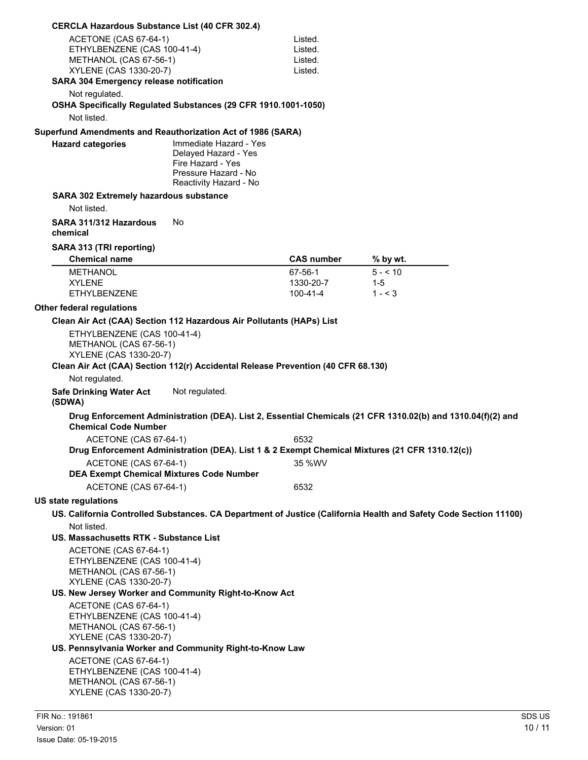| <b>CERCLA Hazardous Substance List (40 CFR 302.4)</b>                                                                                                                                                                                                                                                                                                                                                                                                                  |                                                                                                                       |                                          |                                                                                                                                                                                                               |        |
|------------------------------------------------------------------------------------------------------------------------------------------------------------------------------------------------------------------------------------------------------------------------------------------------------------------------------------------------------------------------------------------------------------------------------------------------------------------------|-----------------------------------------------------------------------------------------------------------------------|------------------------------------------|---------------------------------------------------------------------------------------------------------------------------------------------------------------------------------------------------------------|--------|
| ACETONE (CAS 67-64-1)<br>ETHYLBENZENE (CAS 100-41-4)<br>METHANOL (CAS 67-56-1)<br>XYLENE (CAS 1330-20-7)<br><b>SARA 304 Emergency release notification</b>                                                                                                                                                                                                                                                                                                             |                                                                                                                       | Listed.<br>Listed.<br>Listed.<br>Listed. |                                                                                                                                                                                                               |        |
| Not regulated.<br>OSHA Specifically Regulated Substances (29 CFR 1910.1001-1050)                                                                                                                                                                                                                                                                                                                                                                                       |                                                                                                                       |                                          |                                                                                                                                                                                                               |        |
| Not listed.                                                                                                                                                                                                                                                                                                                                                                                                                                                            |                                                                                                                       |                                          |                                                                                                                                                                                                               |        |
| Superfund Amendments and Reauthorization Act of 1986 (SARA)<br><b>Hazard categories</b>                                                                                                                                                                                                                                                                                                                                                                                | Immediate Hazard - Yes<br>Delayed Hazard - Yes<br>Fire Hazard - Yes<br>Pressure Hazard - No<br>Reactivity Hazard - No |                                          |                                                                                                                                                                                                               |        |
| SARA 302 Extremely hazardous substance<br>Not listed.                                                                                                                                                                                                                                                                                                                                                                                                                  |                                                                                                                       |                                          |                                                                                                                                                                                                               |        |
| SARA 311/312 Hazardous<br>chemical                                                                                                                                                                                                                                                                                                                                                                                                                                     | No                                                                                                                    |                                          |                                                                                                                                                                                                               |        |
| SARA 313 (TRI reporting)<br><b>Chemical name</b>                                                                                                                                                                                                                                                                                                                                                                                                                       |                                                                                                                       | <b>CAS number</b>                        | % by wt.                                                                                                                                                                                                      |        |
| <b>METHANOL</b><br><b>XYLENE</b><br><b>ETHYLBENZENE</b>                                                                                                                                                                                                                                                                                                                                                                                                                |                                                                                                                       | 67-56-1<br>1330-20-7<br>100-41-4         | $5 - 10$<br>$1 - 5$<br>$1 - 3$                                                                                                                                                                                |        |
| Other federal regulations                                                                                                                                                                                                                                                                                                                                                                                                                                              |                                                                                                                       |                                          |                                                                                                                                                                                                               |        |
| Clean Air Act (CAA) Section 112 Hazardous Air Pollutants (HAPs) List<br>ETHYLBENZENE (CAS 100-41-4)<br>METHANOL (CAS 67-56-1)<br>XYLENE (CAS 1330-20-7)<br>Clean Air Act (CAA) Section 112(r) Accidental Release Prevention (40 CFR 68.130)<br>Not regulated.<br><b>Safe Drinking Water Act</b><br>(SDWA)<br><b>Chemical Code Number</b><br>ACETONE (CAS 67-64-1)<br>ACETONE (CAS 67-64-1)<br><b>DEA Exempt Chemical Mixtures Code Number</b><br>ACETONE (CAS 67-64-1) | Not regulated.                                                                                                        | 6532<br>35 %WV<br>6532                   | Drug Enforcement Administration (DEA). List 2, Essential Chemicals (21 CFR 1310.02(b) and 1310.04(f)(2) and<br>Drug Enforcement Administration (DEA). List 1 & 2 Exempt Chemical Mixtures (21 CFR 1310.12(c)) |        |
| <b>US state regulations</b>                                                                                                                                                                                                                                                                                                                                                                                                                                            |                                                                                                                       |                                          |                                                                                                                                                                                                               |        |
|                                                                                                                                                                                                                                                                                                                                                                                                                                                                        |                                                                                                                       |                                          | US. California Controlled Substances. CA Department of Justice (California Health and Safety Code Section 11100)                                                                                              |        |
| Not listed.<br>US. Massachusetts RTK - Substance List<br>ACETONE (CAS 67-64-1)<br>ETHYLBENZENE (CAS 100-41-4)<br>METHANOL (CAS 67-56-1)<br>XYLENE (CAS 1330-20-7)<br>US. New Jersey Worker and Community Right-to-Know Act<br>ACETONE (CAS 67-64-1)                                                                                                                                                                                                                    |                                                                                                                       |                                          |                                                                                                                                                                                                               |        |
| ETHYLBENZENE (CAS 100-41-4)<br>METHANOL (CAS 67-56-1)<br>XYLENE (CAS 1330-20-7)                                                                                                                                                                                                                                                                                                                                                                                        |                                                                                                                       |                                          |                                                                                                                                                                                                               |        |
| US. Pennsylvania Worker and Community Right-to-Know Law<br>ACETONE (CAS 67-64-1)<br>ETHYLBENZENE (CAS 100-41-4)<br>METHANOL (CAS 67-56-1)<br>XYLENE (CAS 1330-20-7)                                                                                                                                                                                                                                                                                                    |                                                                                                                       |                                          |                                                                                                                                                                                                               |        |
| FIR No.: 191861                                                                                                                                                                                                                                                                                                                                                                                                                                                        |                                                                                                                       |                                          |                                                                                                                                                                                                               | SDS US |